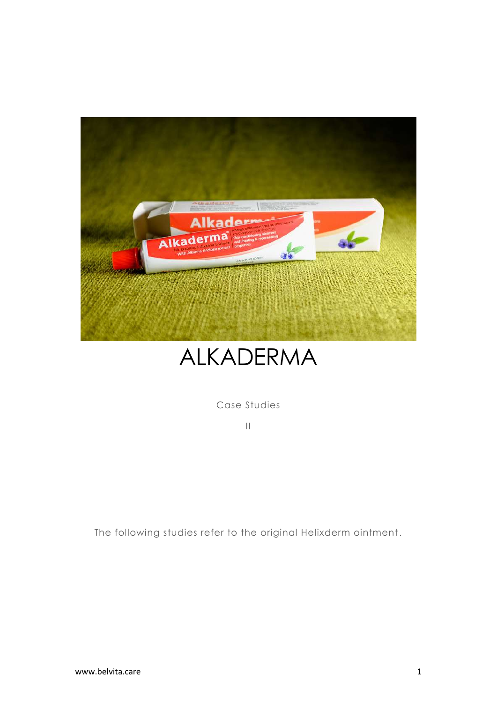



Case Studies

II

The following studies refer to the original Helixderm ointment.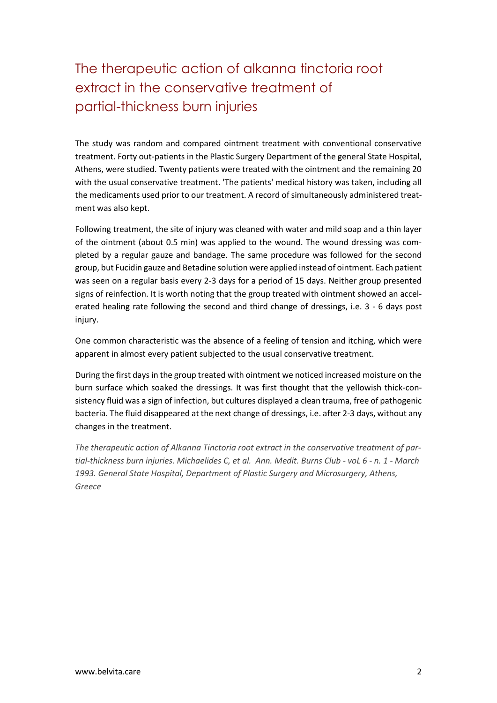## The therapeutic action of alkanna tinctoria root extract in the conservative treatment of partial-thickness burn injuries

The study was random and compared ointment treatment with conventional conservative treatment. Forty out-patients in the Plastic Surgery Department of the general State Hospital, Athens, were studied. Twenty patients were treated with the ointment and the remaining 20 with the usual conservative treatment. 'The patients' medical history was taken, including all the medicaments used prior to our treatment. A record of simultaneously administered treatment was also kept.

Following treatment, the site of injury was cleaned with water and mild soap and a thin layer of the ointment (about 0.5 min) was applied to the wound. The wound dressing was completed by a regular gauze and bandage. The same procedure was followed for the second group, but Fucidin gauze and Betadine solution were applied instead of ointment. Each patient was seen on a regular basis every 2-3 days for a period of 15 days. Neither group presented signs of reinfection. It is worth noting that the group treated with ointment showed an accelerated healing rate following the second and third change of dressings, i.e. 3 - 6 days post injury.

One common characteristic was the absence of a feeling of tension and itching, which were apparent in almost every patient subjected to the usual conservative treatment.

During the first days in the group treated with ointment we noticed increased moisture on the burn surface which soaked the dressings. It was first thought that the yellowish thick-consistency fluid was a sign of infection, but cultures displayed a clean trauma, free of pathogenic bacteria. The fluid disappeared at the next change of dressings, i.e. after 2-3 days, without any changes in the treatment.

*The therapeutic action of Alkanna Tinctoria root extract in the conservative treatment of partial-thickness burn injuries. Michaelides C, et al. Ann. Medit. Burns Club - voL 6 - n. 1 - March 1993. General State Hospital, Department of Plastic Surgery and Microsurgery, Athens, Greece*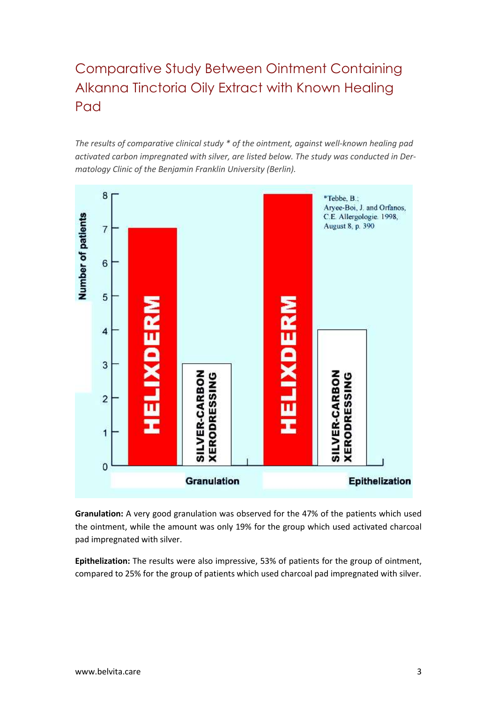# Comparative Study Between Ointment Containing Alkanna Tinctoria Oily Extract with Known Healing Pad

*The results of comparative clinical study \* of the ointment, against well-known healing pad activated carbon impregnated with silver, are listed below. The study was conducted in Dermatology Clinic of the Benjamin Franklin University (Berlin).*



**Granulation:** A very good granulation was observed for the 47% of the patients which used the ointment, while the amount was only 19% for the group which used activated charcoal pad impregnated with silver.

**Epithelization:** The results were also impressive, 53% of patients for the group of ointment, compared to 25% for the group of patients which used charcoal pad impregnated with silver.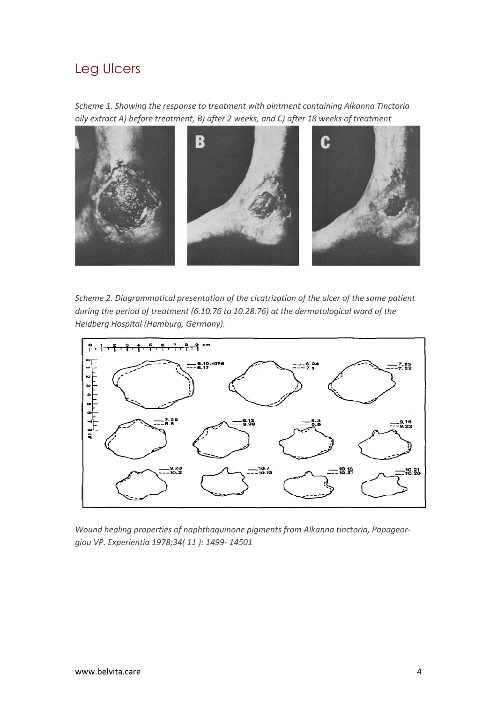#### Leg Ulcers

*Scheme 1. Showing the response to treatment with ointment containing Alkanna Tinctoria oily extract A) before treatment, B) after 2 weeks, and C) after 18 weeks of treatment*



*Scheme 2. Diagrammatical presentation of the cicatrization of the ulcer of the same patient during the period of treatment (6.10.76 to 10.28.76) at the dermatological ward of the Heidberg Hospital (Hamburg, Germany).*



*Wound healing properties of naphthaquinone pigments from Alkanna tinctoria, Papageorgiou VP. Experientia 1978;34( 11 ): 1499- 14501*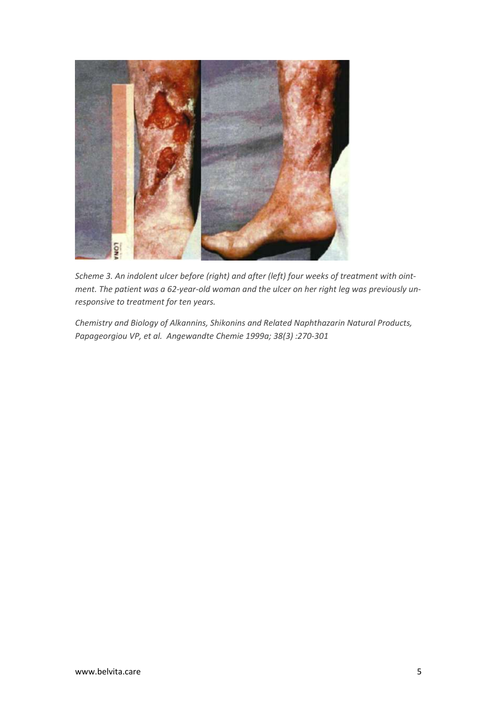

*Scheme 3. An indolent ulcer before (right) and after (left) four weeks of treatment with ointment. The patient was a 62-year-old woman and the ulcer on her right leg was previously unresponsive to treatment for ten years.*

*Chemistry and Biology of Alkannins, Shikonins and Related Naphthazarin Natural Products, Papageorgiou VP, et al. Angewandte Chemie 1999a; 38(3) :270-301*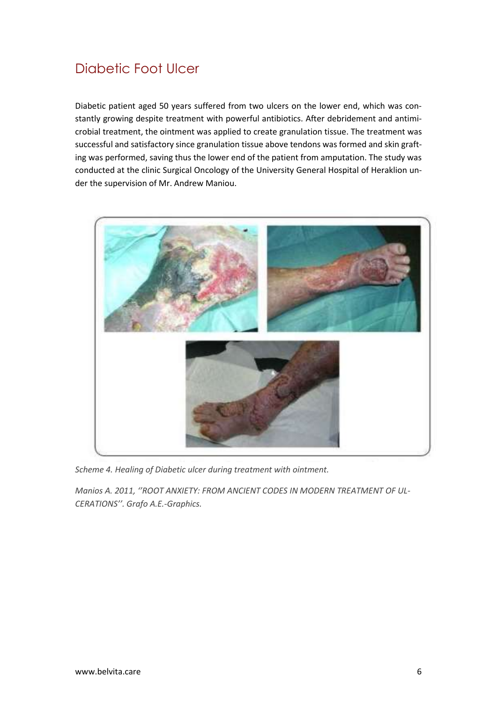### Diabetic Foot Ulcer

Diabetic patient aged 50 years suffered from two ulcers on the lower end, which was constantly growing despite treatment with powerful antibiotics. After debridement and antimicrobial treatment, the ointment was applied to create granulation tissue. The treatment was successful and satisfactory since granulation tissue above tendons was formed and skin grafting was performed, saving thus the lower end of the patient from amputation. The study was conducted at the clinic Surgical Oncology of the University General Hospital of Heraklion under the supervision of Mr. Andrew Maniou.



*Scheme 4. Healing of Diabetic ulcer during treatment with ointment.*

*Manios Α. 2011, ''ROOT ANXIETY: FROM ANCIENT CODES IN MODERN TREATMENT OF UL-CERATIONS''. Grafo A.E.-Graphics.*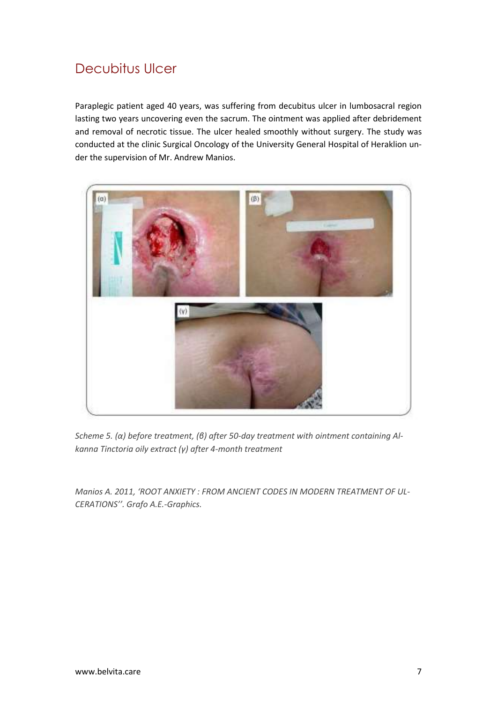#### Decubitus Ulcer

Paraplegic patient aged 40 years, was suffering from decubitus ulcer in lumbosacral region lasting two years uncovering even the sacrum. The ointment was applied after debridement and removal of necrotic tissue. The ulcer healed smoothly without surgery. The study was conducted at the clinic Surgical Oncology of the University General Hospital of Heraklion under the supervision of Mr. Andrew Manios.



*Scheme 5. (α) before treatment, (β) after 50-day treatment with ointment containing Alkanna Tinctoria oily extract (γ) after 4-month treatment*

*Manios Α. 2011, 'ROOT ANXIETY : FROM ANCIENT CODES IN MODERN TREATMENT OF UL-CERATIONS''. Grafo A.E.-Graphics.*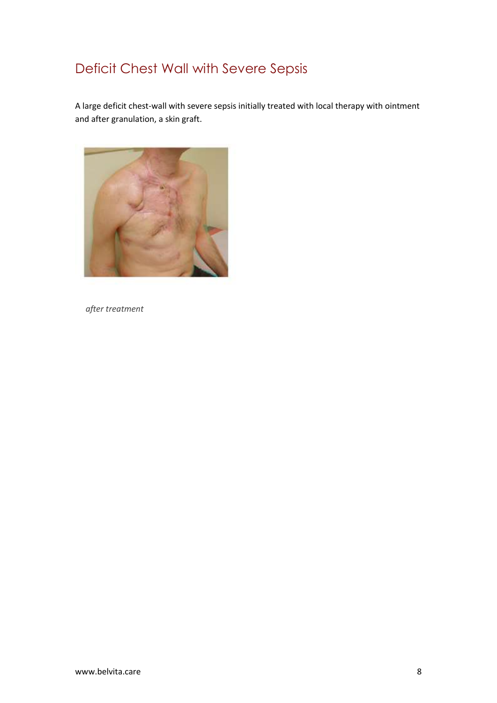## Deficit Chest Wall with Severe Sepsis

A large deficit chest-wall with severe sepsis initially treated with local therapy with ointment and after granulation, a skin graft.



 *after treatment*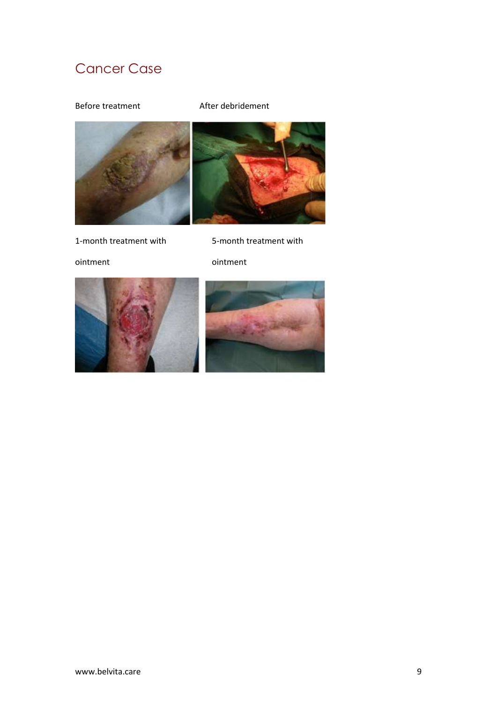## Cancer Case

Before treatment and After debridement



1-month treatment with 5-month treatment with

ointment ointment